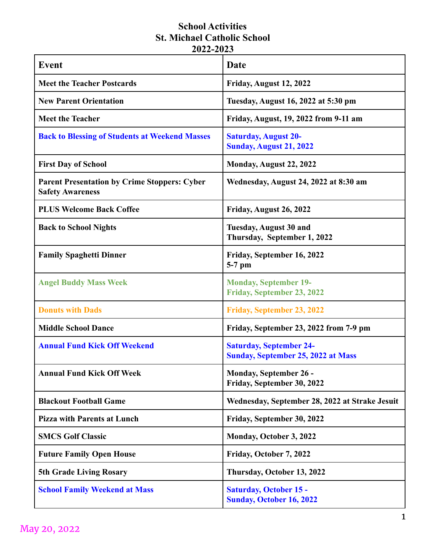## **School Activities St. Michael Catholic School 2022-2023**

| <b>Event</b>                                                                   | Date                                                                        |
|--------------------------------------------------------------------------------|-----------------------------------------------------------------------------|
| <b>Meet the Teacher Postcards</b>                                              | Friday, August 12, 2022                                                     |
| <b>New Parent Orientation</b>                                                  | Tuesday, August 16, 2022 at 5:30 pm                                         |
| <b>Meet the Teacher</b>                                                        | Friday, August, 19, 2022 from 9-11 am                                       |
| <b>Back to Blessing of Students at Weekend Masses</b>                          | <b>Saturday, August 20-</b><br><b>Sunday, August 21, 2022</b>               |
| <b>First Day of School</b>                                                     | Monday, August 22, 2022                                                     |
| <b>Parent Presentation by Crime Stoppers: Cyber</b><br><b>Safety Awareness</b> | Wednesday, August 24, 2022 at 8:30 am                                       |
| <b>PLUS Welcome Back Coffee</b>                                                | Friday, August 26, 2022                                                     |
| <b>Back to School Nights</b>                                                   | Tuesday, August 30 and<br>Thursday, September 1, 2022                       |
| <b>Family Spaghetti Dinner</b>                                                 | Friday, September 16, 2022<br>5-7 pm                                        |
| <b>Angel Buddy Mass Week</b>                                                   | <b>Monday, September 19-</b><br>Friday, September 23, 2022                  |
| <b>Donuts with Dads</b>                                                        | Friday, September 23, 2022                                                  |
| <b>Middle School Dance</b>                                                     | Friday, September 23, 2022 from 7-9 pm                                      |
| <b>Annual Fund Kick Off Weekend</b>                                            | <b>Saturday, September 24-</b><br><b>Sunday, September 25, 2022 at Mass</b> |
| <b>Annual Fund Kick Off Week</b>                                               | <b>Monday, September 26 -</b><br>Friday, September 30, 2022                 |
| <b>Blackout Football Game</b>                                                  | Wednesday, September 28, 2022 at Strake Jesuit                              |
| <b>Pizza with Parents at Lunch</b>                                             | Friday, September 30, 2022                                                  |
| <b>SMCS Golf Classic</b>                                                       | Monday, October 3, 2022                                                     |
| <b>Future Family Open House</b>                                                | Friday, October 7, 2022                                                     |
| <b>5th Grade Living Rosary</b>                                                 | Thursday, October 13, 2022                                                  |
| <b>School Family Weekend at Mass</b>                                           | <b>Saturday, October 15 -</b><br><b>Sunday, October 16, 2022</b>            |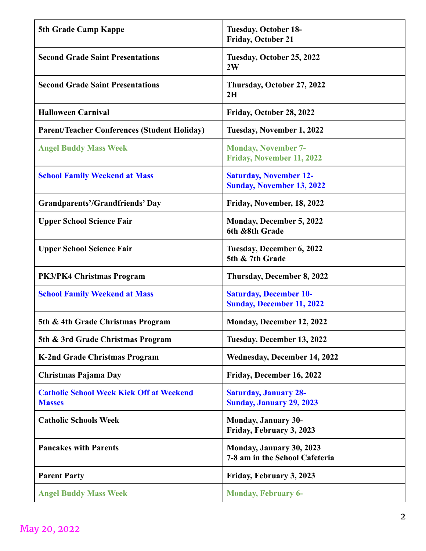| 5th Grade Camp Kappe                                             | <b>Tuesday, October 18-</b><br>Friday, October 21                 |
|------------------------------------------------------------------|-------------------------------------------------------------------|
| <b>Second Grade Saint Presentations</b>                          | Tuesday, October 25, 2022<br>2W                                   |
| <b>Second Grade Saint Presentations</b>                          | Thursday, October 27, 2022<br>2H                                  |
| <b>Halloween Carnival</b>                                        | Friday, October 28, 2022                                          |
| <b>Parent/Teacher Conferences (Student Holiday)</b>              | Tuesday, November 1, 2022                                         |
| <b>Angel Buddy Mass Week</b>                                     | <b>Monday, November 7-</b><br>Friday, November 11, 2022           |
| <b>School Family Weekend at Mass</b>                             | <b>Saturday, November 12-</b><br><b>Sunday, November 13, 2022</b> |
| <b>Grandparents'/Grandfriends' Day</b>                           | Friday, November, 18, 2022                                        |
| <b>Upper School Science Fair</b>                                 | <b>Monday, December 5, 2022</b><br>6th &8th Grade                 |
| <b>Upper School Science Fair</b>                                 | <b>Tuesday, December 6, 2022</b><br>5th & 7th Grade               |
| <b>PK3/PK4 Christmas Program</b>                                 | Thursday, December 8, 2022                                        |
| <b>School Family Weekend at Mass</b>                             | <b>Saturday, December 10-</b><br><b>Sunday, December 11, 2022</b> |
| 5th & 4th Grade Christmas Program                                | <b>Monday, December 12, 2022</b>                                  |
| 5th & 3rd Grade Christmas Program                                | Tuesday, December 13, 2022                                        |
| <b>K-2nd Grade Christmas Program</b>                             | <b>Wednesday, December 14, 2022</b>                               |
| <b>Christmas Pajama Day</b>                                      | Friday, December 16, 2022                                         |
| <b>Catholic School Week Kick Off at Weekend</b><br><b>Masses</b> | <b>Saturday, January 28-</b><br><b>Sunday, January 29, 2023</b>   |
| <b>Catholic Schools Week</b>                                     | <b>Monday, January 30-</b><br>Friday, February 3, 2023            |
| <b>Pancakes with Parents</b>                                     | Monday, January 30, 2023<br>7-8 am in the School Cafeteria        |
| <b>Parent Party</b>                                              | Friday, February 3, 2023                                          |
| <b>Angel Buddy Mass Week</b>                                     | <b>Monday, February 6-</b>                                        |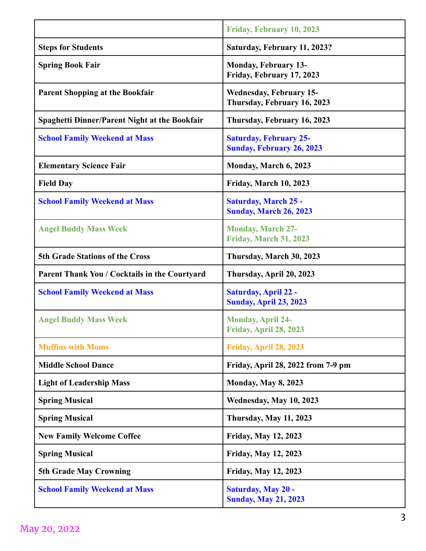|                                                      | Friday, February 10, 2023                                         |
|------------------------------------------------------|-------------------------------------------------------------------|
| <b>Steps for Students</b>                            | Saturday, February 11, 2023?                                      |
| <b>Spring Book Fair</b>                              | <b>Monday, February 13-</b><br>Friday, February 17, 2023          |
| <b>Parent Shopping at the Bookfair</b>               | <b>Wednesday, February 15-</b><br>Thursday, February 16, 2023     |
| <b>Spaghetti Dinner/Parent Night at the Bookfair</b> | Thursday, February 16, 2023                                       |
| <b>School Family Weekend at Mass</b>                 | <b>Saturday, February 25-</b><br><b>Sunday, February 26, 2023</b> |
| <b>Elementary Science Fair</b>                       | Monday, March 6, 2023                                             |
| <b>Field Day</b>                                     | Friday, March 10, 2023                                            |
| <b>School Family Weekend at Mass</b>                 | <b>Saturday, March 25 -</b><br><b>Sunday, March 26, 2023</b>      |
| <b>Angel Buddy Mass Week</b>                         | <b>Monday, March 27-</b><br><b>Friday, March 31, 2023</b>         |
| <b>5th Grade Stations of the Cross</b>               | Thursday, March 30, 2023                                          |
| Parent Thank You / Cocktails in the Courtyard        | Thursday, April 20, 2023                                          |
| <b>School Family Weekend at Mass</b>                 | <b>Saturday, April 22 -</b><br><b>Sunday, April 23, 2023</b>      |
| <b>Angel Buddy Mass Week</b>                         | <b>Monday, April 24-</b><br>Friday, April 28, 2023                |
| <b>Muffins with Moms</b>                             | Friday, April 28, 2023                                            |
| <b>Middle School Dance</b>                           | Friday, April 28, 2022 from 7-9 pm                                |
| <b>Light of Leadership Mass</b>                      | <b>Monday, May 8, 2023</b>                                        |
| <b>Spring Musical</b>                                | Wednesday, May 10, 2023                                           |
| <b>Spring Musical</b>                                | <b>Thursday, May 11, 2023</b>                                     |
| <b>New Family Welcome Coffee</b>                     | <b>Friday, May 12, 2023</b>                                       |
| <b>Spring Musical</b>                                | <b>Friday, May 12, 2023</b>                                       |
| <b>5th Grade May Crowning</b>                        | <b>Friday, May 12, 2023</b>                                       |
| <b>School Family Weekend at Mass</b>                 | Saturday, May 20 -<br><b>Sunday, May 21, 2023</b>                 |